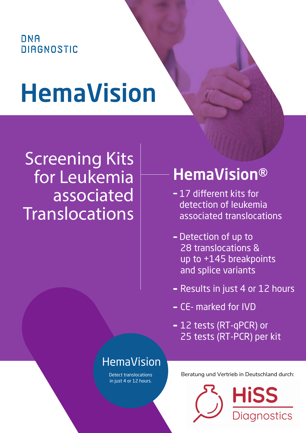## **DNA DIAGNOSTIC**

# HemaVision

# **Screening Kits** for Leukemia associated Translocations

## HemaVision®

- 17 different kits for detection of leukemia associated translocations
- Detection of up to 28 translocations & up to +145 breakpoints and splice variants
- Results in just 4 or 12 hours
- CE- marked for IVD
- 12 tests (RT-qPCR) or 25 tests (RT-PCR) per kit

## HemaVision

Detect translocations in just 4 or 12 hours.

Beratung und Vertrieb in Deutschland durch: